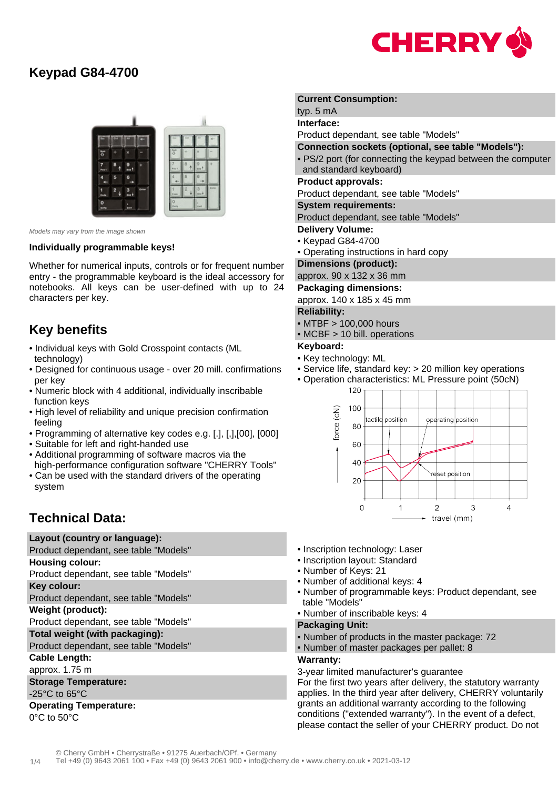

# **Keypad G84-4700**



Models may vary from the image shown

#### **Individually programmable keys!**

Whether for numerical inputs, controls or for frequent number entry - the programmable keyboard is the ideal accessory for notebooks. All keys can be user-defined with up to 24 characters per key.

# **Key benefits**

- Individual keys with Gold Crosspoint contacts (ML technology)
- Designed for continuous usage over 20 mill. confirmations per key
- Numeric block with 4 additional, individually inscribable function keys
- High level of reliability and unique precision confirmation feeling
- Programming of alternative key codes e.g. [.], [,],[00], [000]
- Suitable for left and right-handed use
- Additional programming of software macros via the high-performance configuration software "CHERRY Tools"
- Can be used with the standard drivers of the operating system

# **Technical Data:**

**Layout (country or language):**

Product dependant, see table "Models"

**Housing colour:**

Product dependant, see table "Models"

**Key colour:**

Product dependant, see table "Models"

**Weight (product):**

Product dependant, see table "Models"

**Total weight (with packaging):**

Product dependant, see table "Models"

**Cable Length:**

approx. 1.75 m

**Storage Temperature:**

## -25°C to 65°C

**Operating Temperature:** 0°C to 50°C

## **Current Consumption:**

typ. 5 mA

**Interface:** Product dependant, see table "Models"

**Connection sockets (optional, see table "Models"):**

• PS/2 port (for connecting the keypad between the computer and standard keyboard)

### **Product approvals:**

Product dependant, see table "Models"

#### **System requirements:**

Product dependant, see table "Models"

- **Delivery Volume:**
- Keypad G84-4700
- Operating instructions in hard copy

**Dimensions (product):**

#### approx. 90 x 132 x 36 mm

**Packaging dimensions:**

approx. 140 x 185 x 45 mm

## **Reliability:**

• MTBF > 100,000 hours

• MCBF > 10 bill. operations

### **Keyboard:**

- Key technology: ML
- Service life, standard key: > 20 million key operations
- Operation characteristics: ML Pressure point (50cN)



- Inscription technology: Laser
- Inscription layout: Standard
- Number of Keys: 21
- Number of additional keys: 4
- Number of programmable keys: Product dependant, see table "Models"
- Number of inscribable keys: 4

## **Packaging Unit:**

- Number of products in the master package: 72
- Number of master packages per pallet: 8

## **Warranty:**

3-year limited manufacturer's guarantee

For the first two years after delivery, the statutory warranty applies. In the third year after delivery, CHERRY voluntarily grants an additional warranty according to the following conditions ("extended warranty"). In the event of a defect, please contact the seller of your CHERRY product. Do not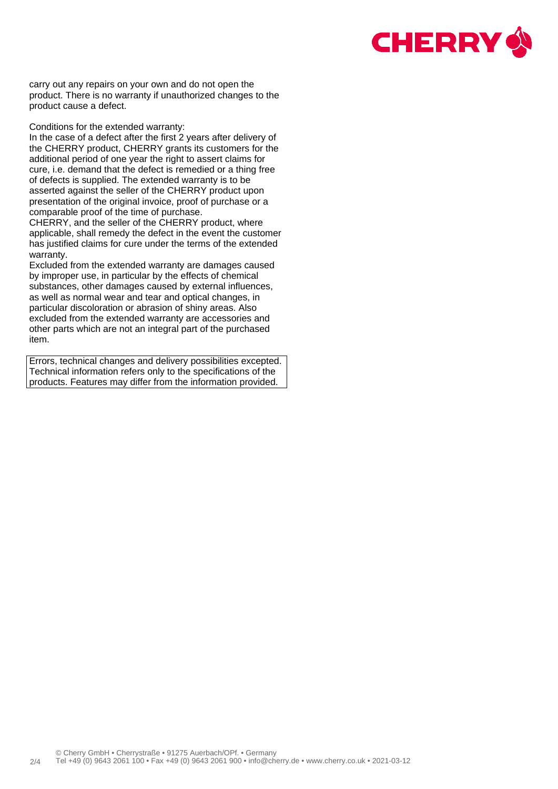

carry out any repairs on your own and do not open the product. There is no warranty if unauthorized changes to the product cause a defect.

Conditions for the extended warranty:

In the case of a defect after the first 2 years after delivery of the CHERRY product, CHERRY grants its customers for the additional period of one year the right to assert claims for cure, i.e. demand that the defect is remedied or a thing free of defects is supplied. The extended warranty is to be asserted against the seller of the CHERRY product upon presentation of the original invoice, proof of purchase or a comparable proof of the time of purchase.

CHERRY, and the seller of the CHERRY product, where applicable, shall remedy the defect in the event the customer has justified claims for cure under the terms of the extended warranty.

Excluded from the extended warranty are damages caused by improper use, in particular by the effects of chemical substances, other damages caused by external influences, as well as normal wear and tear and optical changes, in particular discoloration or abrasion of shiny areas. Also excluded from the extended warranty are accessories and other parts which are not an integral part of the purchased item.

Errors, technical changes and delivery possibilities excepted. Technical information refers only to the specifications of the products. Features may differ from the information provided.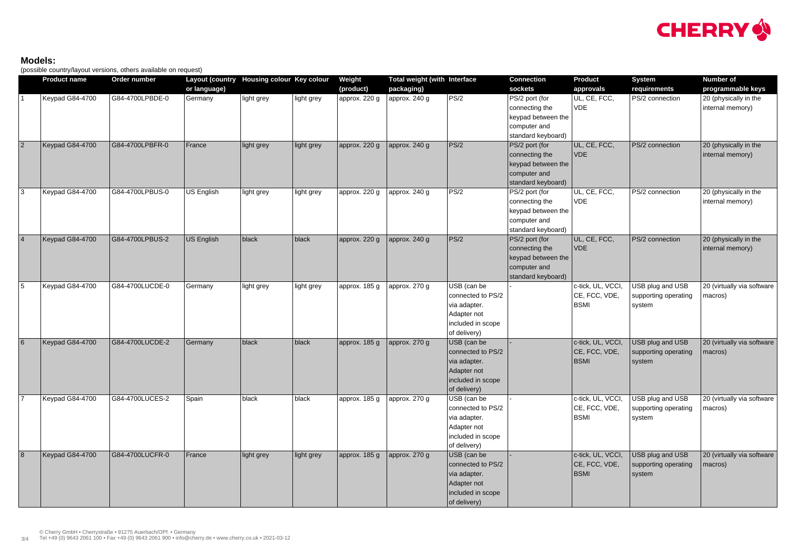## **Models:**

(possible country/layout versions, others available on request)

|                 | $\cdot$ $\cdot$ $\cdot$<br><b>Product name</b> | Order number    | Layout (country Housing colour Key colour |            |            | Weight        | <b>Total weight (with Interface</b> |                                                                                                      | <b>Connection</b>                                                                            | <b>Product</b>                                     | <b>System</b>                                      | <b>Number of</b>                          |
|-----------------|------------------------------------------------|-----------------|-------------------------------------------|------------|------------|---------------|-------------------------------------|------------------------------------------------------------------------------------------------------|----------------------------------------------------------------------------------------------|----------------------------------------------------|----------------------------------------------------|-------------------------------------------|
|                 |                                                |                 | or language)                              |            |            | (product)     | packaging)                          |                                                                                                      | sockets                                                                                      | approvals                                          | requirements                                       | programmable keys                         |
|                 | Keypad G84-4700                                | G84-4700LPBDE-0 | Germany                                   | light grey | Iight grey | approx. 220 g | approx. 240 g                       | PS/2                                                                                                 | PS/2 port (for<br>connecting the<br>keypad between the<br>computer and<br>standard keyboard) | UL, CE, FCC,<br><b>VDE</b>                         | PS/2 connection                                    | 20 (physically in the<br>internal memory) |
| 2               | Keypad G84-4700                                | G84-4700LPBFR-0 | France                                    | light grey | light grey | approx. 220 g | approx. 240 g                       | PS/2                                                                                                 | PS/2 port (for<br>connecting the<br>keypad between the<br>computer and<br>standard keyboard) | UL, CE, FCC,<br>VDE                                | PS/2 connection                                    | 20 (physically in the<br>internal memory) |
| 3               | Keypad G84-4700                                | G84-4700LPBUS-0 | US English                                | light grey | light grey | approx. 220 g | approx. 240 g                       | PS/2                                                                                                 | PS/2 port (for<br>connecting the<br>keypad between the<br>computer and<br>standard keyboard) | UL, CE, FCC,<br><b>VDE</b>                         | PS/2 connection                                    | 20 (physically in the<br>internal memory) |
| $\vert 4 \vert$ | Keypad G84-4700                                | G84-4700LPBUS-2 | US English                                | black      | black      | approx. 220 g | approx. 240 g                       | PS/2                                                                                                 | PS/2 port (for<br>connecting the<br>keypad between the<br>computer and<br>standard keyboard) | UL, CE, FCC,<br><b>VDE</b>                         | PS/2 connection                                    | 20 (physically in the<br>internal memory) |
| $\overline{5}$  | Keypad G84-4700                                | G84-4700LUCDE-0 | Germany                                   | light grey | light grey | approx. 185 g | approx. 270 g                       | USB (can be<br>connected to PS/2<br>via adapter.<br>Adapter not<br>included in scope<br>of delivery) |                                                                                              | c-tick, UL, VCCI,<br>CE, FCC, VDE,<br><b>BSMI</b>  | USB plug and USB<br>supporting operating<br>system | 20 (virtually via software<br>macros)     |
| $6\overline{6}$ | Keypad G84-4700                                | G84-4700LUCDE-2 | Germany                                   | black      | black      | approx. 185 g | approx. 270 g                       | USB (can be<br>connected to PS/2<br>via adapter.<br>Adapter not<br>included in scope<br>of delivery) |                                                                                              | c-tick, UL, VCCI,<br>CE, FCC, VDE,<br><b>BSMI</b>  | USB plug and USB<br>supporting operating<br>system | 20 (virtually via software<br>macros)     |
| 7               | Keypad G84-4700                                | G84-4700LUCES-2 | Spain                                     | black      | black      | approx. 185 g | approx. 270 g                       | USB (can be<br>connected to PS/2<br>via adapter.<br>Adapter not<br>included in scope<br>of delivery) |                                                                                              | c-tick, UL, VCCI,<br>CE, FCC, VDE,<br><b>BSMI</b>  | USB plug and USB<br>supporting operating<br>system | 20 (virtually via software<br>macros)     |
| 8               | Keypad G84-4700                                | G84-4700LUCFR-0 | France                                    | light grey | light grey | approx. 185 g | approx. 270 g                       | USB (can be<br>connected to PS/2<br>via adapter.<br>Adapter not<br>included in scope<br>of delivery) |                                                                                              | c-tick, UL, VCCI,<br> CE, FCC, VDE,<br><b>BSMI</b> | USB plug and USB<br>supporting operating<br>system | 20 (virtually via software<br>macros)     |